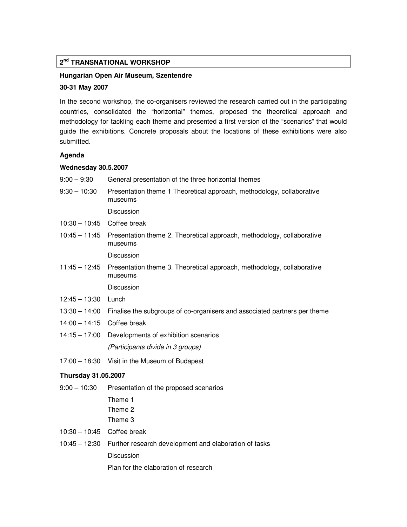# **2 nd TRANSNATIONAL WORKSHOP**

#### **Hungarian Open Air Museum, Szentendre**

#### **30-31 May 2007**

In the second workshop, the co-organisers reviewed the research carried out in the participating countries, consolidated the "horizontal" themes, proposed the theoretical approach and methodology for tackling each theme and presented a first version of the "scenarios" that would guide the exhibitions. Concrete proposals about the locations of these exhibitions were also submitted.

## **Agenda**

#### **Wednesday 30.5.2007**

- 9:00 9:30 General presentation of the three horizontal themes
- 9:30 10:30 Presentation theme 1 Theoretical approach, methodology, collaborative museums

Discussion

- 10:30 10:45 Coffee break
- 10:45 11:45 Presentation theme 2. Theoretical approach, methodology, collaborative museums

Discussion

11:45 – 12:45 Presentation theme 3. Theoretical approach, methodology, collaborative museums

**Discussion** 

- 12:45 13:30 Lunch
- 13:30 14:00 Finalise the subgroups of co-organisers and associated partners per theme
- 14:00 14:15 Coffee break
- 14:15 17:00 Developments of exhibition scenarios (Participants divide in 3 groups)
- 17:00 18:30 Visit in the Museum of Budapest

#### **Thursday 31.05.2007**

9:00 – 10:30 Presentation of the proposed scenarios

 Theme 1 Theme 2

Theme 3

- 10:30 10:45 Coffee break
- 10:45 12:30 Further research development and elaboration of tasks **Discussion**

Plan for the elaboration of research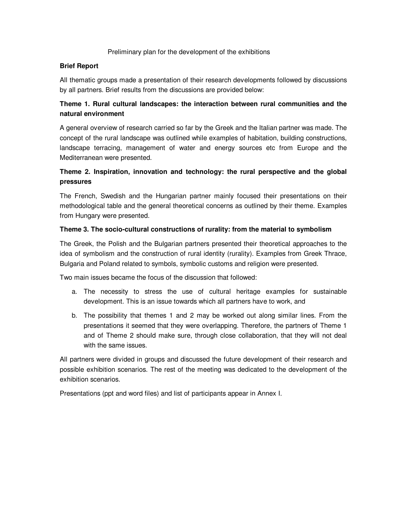# Preliminary plan for the development of the exhibitions

# **Brief Report**

All thematic groups made a presentation of their research developments followed by discussions by all partners. Brief results from the discussions are provided below:

# **Theme 1. Rural cultural landscapes: the interaction between rural communities and the natural environment**

A general overview of research carried so far by the Greek and the Italian partner was made. The concept of the rural landscape was outlined while examples of habitation, building constructions, landscape terracing, management of water and energy sources etc from Europe and the Mediterranean were presented.

# **Theme 2. Inspiration, innovation and technology: the rural perspective and the global pressures**

The French, Swedish and the Hungarian partner mainly focused their presentations on their methodological table and the general theoretical concerns as outlined by their theme. Examples from Hungary were presented.

# **Theme 3. The socio-cultural constructions of rurality: from the material to symbolism**

The Greek, the Polish and the Bulgarian partners presented their theoretical approaches to the idea of symbolism and the construction of rural identity (rurality). Examples from Greek Thrace, Bulgaria and Poland related to symbols, symbolic customs and religion were presented.

Two main issues became the focus of the discussion that followed:

- a. The necessity to stress the use of cultural heritage examples for sustainable development. This is an issue towards which all partners have to work, and
- b. The possibility that themes 1 and 2 may be worked out along similar lines. From the presentations it seemed that they were overlapping. Therefore, the partners of Theme 1 and of Theme 2 should make sure, through close collaboration, that they will not deal with the same issues.

All partners were divided in groups and discussed the future development of their research and possible exhibition scenarios. The rest of the meeting was dedicated to the development of the exhibition scenarios.

Presentations (ppt and word files) and list of participants appear in Annex I.